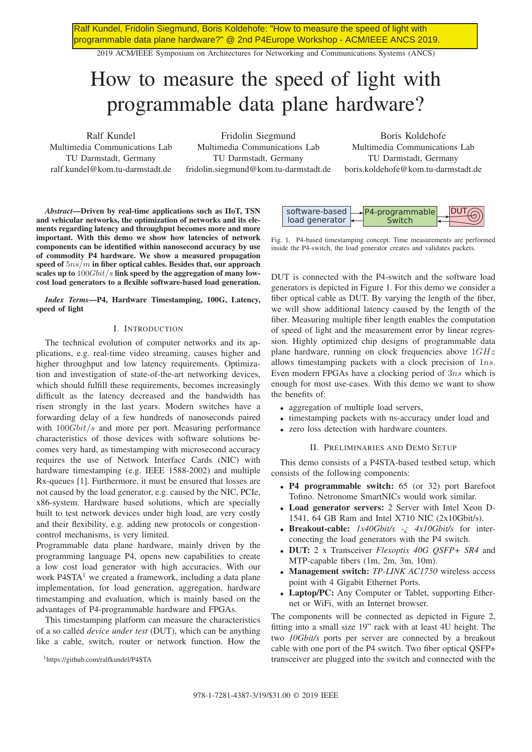Ralf Kundel, Fridolin Siegmund, Boris Koldehofe: "How to measure the speed of light with programmable data plane hardware?" @ 2nd P4Europe Workshop - ACM/IEEE ANCS 2019.

2019 ACM/IEEE Symposium on Architectures for Networking and Communications Systems (ANCS)

# How to measure the speed of light with programmable data plane hardware?

Ralf Kundel Multimedia Communications Lab TU Darmstadt, Germany ralf.kundel@kom.tu-darmstadt.de

Fridolin Siegmund Multimedia Communications Lab TU Darmstadt, Germany fridolin.siegmund@kom.tu-darmstadt.de

Boris Koldehofe Multimedia Communications Lab TU Darmstadt, Germany boris.koldehofe@kom.tu-darmstadt.de

*Abstract*—Driven by real-time applications such as IIoT, TSN and vehicular networks, the optimization of networks and its elements regarding latency and throughput becomes more and more important. With this demo we show how latencies of network components can be identified within nanosecond accuracy by use of commodity P4 hardware. We show a measured propagation speed of  $5ns/m$  in fiber optical cables. Besides that, our approach scales up to  $100Gbit/s$  link speed by the aggregation of many lowcost load generators to a flexible software-based load generation.

*Index Terms*—P4, Hardware Timestamping, 100G, Latency, speed of light

## I. INTRODUCTION

The technical evolution of computer networks and its applications, e.g. real-time video streaming, causes higher and higher throughput and low latency requirements. Optimization and investigation of state-of-the-art networking devices, which should fulfill these requirements, becomes increasingly difficult as the latency decreased and the bandwidth has risen strongly in the last years. Modern switches have a forwarding delay of a few hundreds of nanoseconds paired with  $100Gbit/s$  and more per port. Measuring performance characteristics of those devices with software solutions becomes very hard, as timestamping with microsecond accuracy requires the use of Network Interface Cards (NIC) with hardware timestamping (e.g. IEEE 1588-2002) and multiple Rx-queues [1]. Furthermore, it must be ensured that losses are not caused by the load generator, e.g. caused by the NIC, PCIe, x86-system. Hardware based solutions, which are specially built to test network devices under high load, are very costly and their flexibility, e.g. adding new protocols or congestioncontrol mechanisms, is very limited.

Programmable data plane hardware, mainly driven by the programming language P4, opens new capabilities to create a low cost load generator with high accuracies. With our work  $P4STA<sup>1</sup>$  we created a framework, including a data plane implementation, for load generation, aggregation, hardware timestamping and evaluation, which is mainly based on the advantages of P4-programmable hardware and FPGAs.

This timestamping platform can measure the characteristics of a so called *device under test* (DUT), which can be anything like a cable, switch, router or network function. How the





Fig. 1. P4-based timestamping concept. Time measurements are performed inside the P4-switch, the load generator creates and validates packets.

DUT is connected with the P4-switch and the software load generators is depicted in Figure 1. For this demo we consider a fiber optical cable as DUT. By varying the length of the fiber, we will show additional latency caused by the length of the fiber. Measuring multiple fiber length enables the computation of speed of light and the measurement error by linear regression. Highly optimized chip designs of programmable data plane hardware, running on clock frequencies above  $1GHz$ allows timestamping packets with a clock precision of 1ns. Even modern FPGAs have a clocking period of 3ns which is enough for most use-cases. With this demo we want to show the benefits of:

- aggregation of multiple load servers,
- timestamping packets with ns-accuracy under load and
- zero loss detection with hardware counters.

#### II. PRELIMINARIES AND DEMO SETUP

This demo consists of a P4STA-based testbed setup, which consists of the following components:

- P4 programmable switch: 65 (or 32) port Barefoot Tofino. Netronome SmartNICs would work similar.
- Load generator servers: 2 Server with Intel Xeon D-1541, 64 GB Ram and Intel X710 NIC (2x10Gbit/s).
- Breakout-cable: *1x40Gbit/s -¿ 4x10Gbit/s* for interconecting the load generators with the P4 switch.
- DUT: 2 x Transceiver *Flexoptix 40G QSFP+ SR4* and MTP-capable fibers (1m, 2m, 3m, 10m).
- Management switch: *TP-LINK AC1750* wireless access point with 4 Gigabit Ethernet Ports.
- Laptop/PC: Any Computer or Tablet, supporting Ethernet or WiFi, with an Internet browser.

The components will be connected as depicted in Figure 2, fitting into a small size 19" rack with at least 4U height. The two *10Gbit/s* ports per server are connected by a breakout cable with one port of the P4 switch. Two fiber optical QSFP+ transceiver are plugged into the switch and connected with the